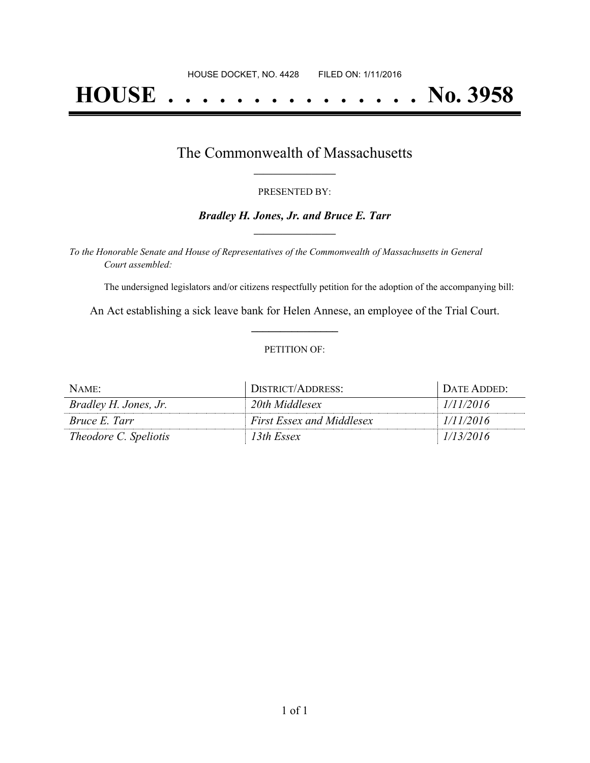# **HOUSE . . . . . . . . . . . . . . . No. 3958**

### The Commonwealth of Massachusetts **\_\_\_\_\_\_\_\_\_\_\_\_\_\_\_\_\_**

#### PRESENTED BY:

#### *Bradley H. Jones, Jr. and Bruce E. Tarr* **\_\_\_\_\_\_\_\_\_\_\_\_\_\_\_\_\_**

*To the Honorable Senate and House of Representatives of the Commonwealth of Massachusetts in General Court assembled:*

The undersigned legislators and/or citizens respectfully petition for the adoption of the accompanying bill:

An Act establishing a sick leave bank for Helen Annese, an employee of the Trial Court. **\_\_\_\_\_\_\_\_\_\_\_\_\_\_\_**

#### PETITION OF:

| NAME:                        | DISTRICT/ADDRESS:                | DATE ADDED: |
|------------------------------|----------------------------------|-------------|
| Bradley H. Jones, Jr.        | 20th Middlesex                   | 1/11/2016   |
| Bruce E. Tarr                | <b>First Essex and Middlesex</b> | 1/11/2016   |
| <i>Theodore C. Speliotis</i> | 13th Essex                       | 1/13/2016   |